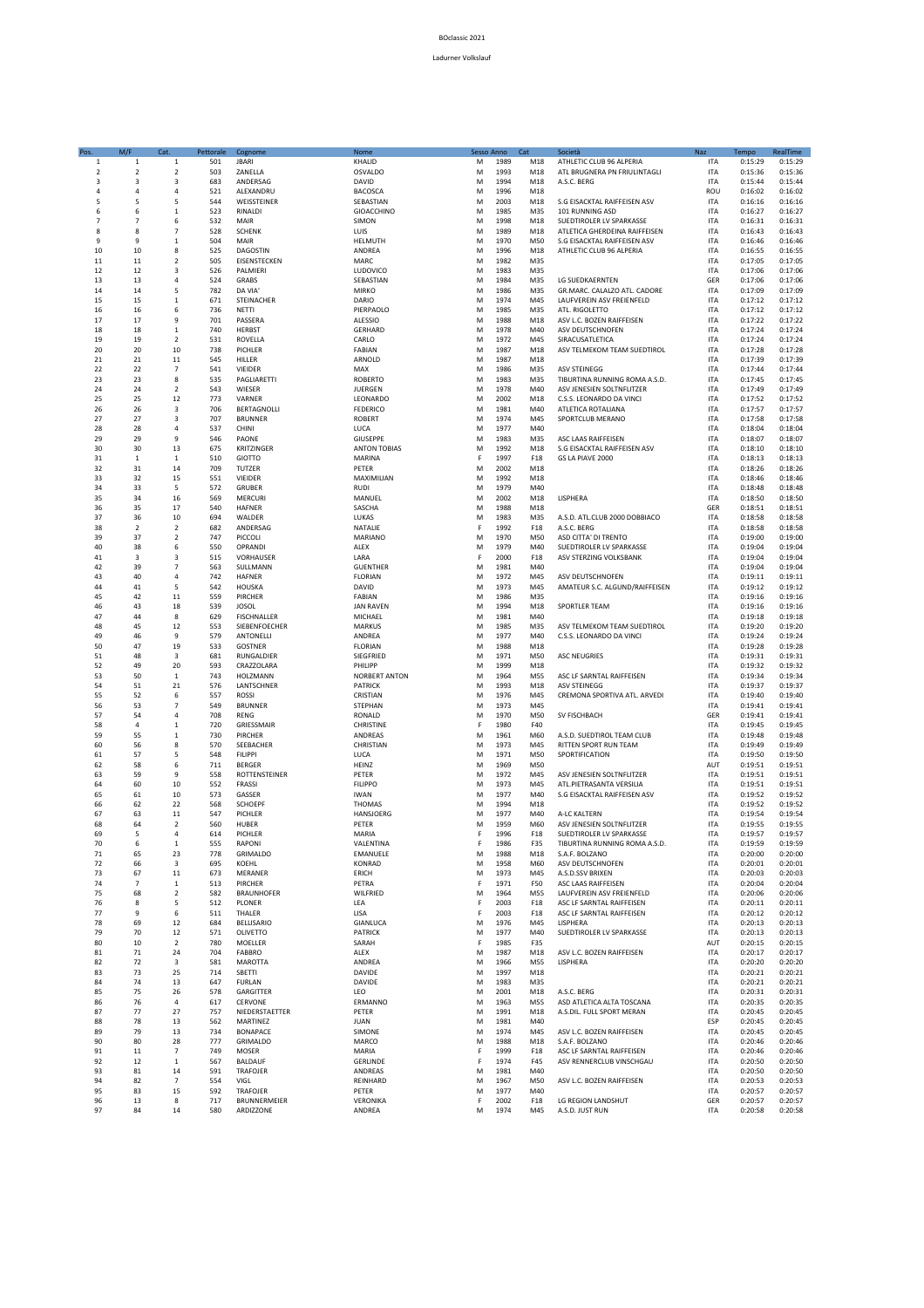## BOclassic 2021

## Ladurner Volkslauf

| Pos.           | M/F            | Cat.                    | Pettorale  | Cognome                            | Nome                            | Sesso Anno  |              | Cat        | Società                                                 | Naz                      | Tempo              | RealTime           |
|----------------|----------------|-------------------------|------------|------------------------------------|---------------------------------|-------------|--------------|------------|---------------------------------------------------------|--------------------------|--------------------|--------------------|
| $\mathbf 1$    | $\mathbf{1}$   | $\mathbf{1}$            | 501        | <b>JBARI</b>                       | KHALID                          | M           | 1989         | M18        | ATHLETIC CLUB 96 ALPERIA                                | <b>ITA</b>               | 0:15:29            | 0:15:29            |
| 2              | $\overline{2}$ | $\overline{2}$          | 503        | ZANELLA                            | OSVALDO                         | М           | 1993         | M18        | ATL BRUGNERA PN FRIULINTAGLI                            | <b>ITA</b>               | 0:15:36            | 0:15:36            |
| 3              | 3              | 3                       | 683        | ANDERSAG                           | DAVID                           | M           | 1994         | M18        | A.S.C. BERG                                             | <b>ITA</b>               | 0:15:44            | 0:15:44            |
| $\overline{4}$ | 4              | 4                       | 521        | ALEXANDRU                          | <b>BACOSCA</b>                  | M           | 1996         | M18        |                                                         | ROU                      | 0:16:02            | 0:16:02            |
| 5              | $\overline{5}$ | $\overline{5}$          | 544        | WEISSTEINER                        | SEBASTIAN                       | M           | 2003         | M18        | S.G EISACKTAL RAIFFEISEN ASV                            | <b>ITA</b>               | 0:16:16            | 0:16:16            |
| 6              | 6              | $\mathbf 1$             | 523        | RINALDI                            | GIOACCHINO                      | M           | 1985         | M35        | 101 RUNNING ASD                                         | <b>ITA</b>               | 0:16:27            | 0:16:27            |
| $\overline{7}$ | $\overline{7}$ | 6                       | 532        | MAIR                               | SIMON                           | M           | 1998         | M18        | SUEDTIROLER LV SPARKASSE                                | <b>ITA</b>               | 0:16:31            | 0:16:31            |
| 8              | 8              | $\overline{7}$          | 528        | <b>SCHENK</b>                      | LUIS                            | M           | 1989         | M18        | ATLETICA GHERDEINA RAIFFEISEN                           | <b>ITA</b>               | 0:16:43            | 0:16:43            |
| 9              | 9              | $\mathbf{1}$            | 504        | MAIR                               | HELMUTH                         | M           | 1970<br>1996 | M50        | S.G EISACKTAL RAIFFEISEN ASV                            | <b>ITA</b>               | 0:16:46            | 0:16:46            |
| 10<br>11       | 10<br>11       | 8<br>$\overline{2}$     | 525<br>505 | DAGOSTIN<br>EISENSTECKEN           | ANDREA<br>MARC                  | M<br>M      | 1982         | M18<br>M35 | ATHLETIC CLUB 96 ALPERIA                                | <b>ITA</b><br><b>ITA</b> | 0:16:55<br>0:17:05 | 0:16:55<br>0:17:05 |
| 12             | 12             | 3                       | 526        | PALMIERI                           | LUDOVICO                        | M           | 1983         | M35        |                                                         | <b>ITA</b>               | 0:17:06            | 0:17:06            |
| 13             | 13             | $\overline{a}$          | 524        | GRABS                              | SEBASTIAN                       | M           | 1984         | M35        | LG SUEDKAERNTEN                                         | GER                      | 0:17:06            | 0:17:06            |
| 14             | 14             | 5                       | 782        | DA VIA                             | <b>MIRKO</b>                    | M           | 1986         | M35        | GR.MARC. CALALZO ATL. CADORE                            | <b>ITA</b>               | 0:17:09            | 0:17:09            |
| 15             | 15             | $\mathbf{1}$            | 671        | STEINACHER                         | DARIO                           | M           | 1974         | M45        | LAUFVEREIN ASV FREIENFELD                               | <b>ITA</b>               | 0:17:12            | 0:17:12            |
| 16             | 16             | 6                       | 736        | <b>NETTI</b>                       | PIERPAOLO                       | M           | 1985         | M35        | ATL. RIGOLETTO                                          | <b>ITA</b>               | 0:17:12            | 0:17:12            |
| 17             | 17             | 9                       | 701        | PASSERA                            | ALESSIO                         | M           | 1988         | M18        | ASV L.C. BOZEN RAIFFEISEN                               | <b>ITA</b>               | 0:17:22            | 0:17:22            |
| 18             | 18             | $\mathbf 1$             | 740        | <b>HERBST</b>                      | <b>GERHARD</b>                  | M           | 1978         | M40        | ASV DEUTSCHNOFEN                                        | <b>ITA</b>               | 0:17:24            | 0:17:24            |
| 19             | 19             | $\mathbf 2$             | 531        | ROVELLA                            | CARLO                           | M           | 1972         | M45        | SIRACUSATLETICA                                         | <b>ITA</b>               | 0:17:24            | 0:17:24            |
| 20             | 20             | 10                      | 738        | PICHLER                            | <b>FABIAN</b>                   | M           | 1987         | M18        | ASV TELMEKOM TEAM SUEDTIROL                             | <b>ITA</b>               | 0:17:28            | 0:17:28            |
| 21             | 21             | 11                      | 545        | HILLER                             | ARNOLD                          | M           | 1987         | M18        |                                                         | <b>ITA</b>               | 0:17:39            | 0:17:39            |
| 22             | 22             | $\overline{7}$          | 541        | VIEIDER                            | MAX                             | M           | 1986         | M35        | <b>ASV STEINEGG</b>                                     | <b>ITA</b>               | 0:17:44            | 0:17:44            |
| 23             | 23             | 8                       | 535        | PAGLIARETTI                        | <b>ROBERTO</b>                  | M           | 1983         | M35        | TIBURTINA RUNNING ROMA A.S.D.                           | <b>ITA</b>               | 0:17:45            | 0:17:45            |
| 24             | 24             | $\overline{2}$          | 543        | WIESER                             | <b>JUERGEN</b>                  | M           | 1978         | M40        | ASV JENESIEN SOLTNFLITZER                               | <b>ITA</b>               | 0:17:49            | 0:17:49            |
| 25             | 25             | 12                      | 773        | VARNER                             | LEONARDO                        | M           | 2002         | M18        | C.S.S. LEONARDO DA VINCI                                | <b>ITA</b>               | 0:17:52            | 0:17:52            |
| 26             | 26             | 3                       | 706        | <b>BERTAGNOLLI</b>                 | <b>FEDERICO</b>                 | M           | 1981         | M40        | ATLETICA ROTALIANA                                      | <b>ITA</b>               | 0:17:57            | 0:17:57            |
| 27             | 27             | 3                       | 707        | <b>BRUNNER</b>                     | <b>ROBERT</b>                   | M           | 1974         | M45        | SPORTCLUB MERANO                                        | <b>ITA</b>               | 0:17:58            | 0:17:58            |
| 28<br>29       | 28<br>29       | 4<br>9                  | 537<br>546 | CHINI<br>PAONE                     | LUCA                            | M<br>M      | 1977<br>1983 | M40<br>M35 |                                                         | <b>ITA</b><br><b>ITA</b> | 0:18:04<br>0:18:07 | 0:18:04<br>0:18:07 |
| 30             | 30             | 13                      | 675        |                                    | GIUSEPPE<br><b>ANTON TOBIAS</b> | M           | 1992         | M18        | ASC LAAS RAIFFEISEN                                     | <b>ITA</b>               | 0:18:10            | 0:18:10            |
| 31             | $\mathbf{1}$   | $\mathbf{1}$            | 510        | <b>KRITZINGER</b><br><b>GIOTTO</b> | MARINA                          | F           | 1997         | F18        | S.G EISACKTAL RAIFFEISEN ASV<br>GS LA PIAVE 2000        | <b>ITA</b>               | 0:18:13            | 0:18:13            |
| 32             | 31             | 14                      | 709        | TUTZER                             | PETER                           | M           | 2002         | M18        |                                                         | <b>ITA</b>               | 0:18:26            | 0:18:26            |
| 33             | 32             | 15                      | 551        | VIEIDER                            | MAXIMILIAN                      | M           | 1992         | M18        |                                                         | <b>ITA</b>               | 0:18:46            | 0:18:46            |
| 34             | 33             | 5                       | 572        | GRUBER                             | <b>RUDI</b>                     | M           | 1979         | M40        |                                                         | <b>ITA</b>               | 0:18:48            | 0:18:48            |
| 35             | 34             | 16                      | 569        | MERCURI                            | MANUEL                          | M           | 2002         | M18        | LISPHERA                                                | <b>ITA</b>               | 0:18:50            | 0:18:50            |
| 36             | 35             | 17                      | 540        | <b>HAFNER</b>                      | SASCHA                          | M           | 1988         | M18        |                                                         | GER                      | 0:18:51            | 0:18:51            |
| 37             | 36             | 10                      | 694        | WALDER                             | LUKAS                           | M           | 1983         | M35        | A.S.D. ATL.CLUB 2000 DOBBIACO                           | <b>ITA</b>               | 0:18:58            | 0:18:58            |
| 38             | $\overline{z}$ | $\overline{2}$          | 682        | ANDERSAG                           | NATALIE                         | E           | 1992         | F18        | A.S.C. BERG                                             | <b>ITA</b>               | 0:18:58            | 0:18:58            |
| 39             | 37             | $\overline{2}$          | 747        | PICCOLI                            | MARIANO                         | M           | 1970         | M50        | ASD CITTA' DI TRENTO                                    | <b>ITA</b>               | 0:19:00            | 0:19:00            |
| 40             | 38             | 6                       | 550        | OPRANDI                            | ALEX                            | M           | 1979         | M40        | SUEDTIROLER LV SPARKASSE                                | <b>ITA</b>               | 0:19:04            | 0:19:04            |
| 41             | 3              | $\overline{3}$          | 515        | VORHAUSER                          | LARA                            | F           | 2000         | F18        | ASV STERZING VOLKSBANK                                  | <b>ITA</b>               | 0:19:04            | 0:19:04            |
| 42             | 39             | $\overline{7}$          | 563        | SULLMANN                           | <b>GUENTHER</b>                 | M           | 1981         | M40        |                                                         | <b>ITA</b>               | 0:19:04            | 0:19:04            |
| 43             | 40             | $\overline{a}$          | 742        | HAFNER                             | <b>FLORIAN</b>                  | M           | 1972         | M45        | ASV DEUTSCHNOFEN                                        | <b>ITA</b>               | 0:19:11            | 0:19:11            |
| 44             | 41             | 5                       | 542        | HOUSKA                             | DAVID                           | M           | 1973         | M45        | AMATEUR S.C. ALGUND/RAIFFEISEN                          | <b>ITA</b>               | 0:19:12            | 0:19:12            |
| 45             | 42             | 11                      | 559        | PIRCHER                            | <b>FABIAN</b>                   | M           | 1986         | M35        |                                                         | <b>ITA</b>               | 0:19:16            | 0:19:16            |
| 46<br>47       | 43<br>44       | 18<br>$\mathbf{8}$      | 539<br>629 | <b>JOSOL</b>                       | <b>JAN RAVEN</b>                | M<br>M      | 1994<br>1981 | M18<br>M40 | SPORTLER TEAM                                           | <b>ITA</b><br><b>ITA</b> | 0:19:16<br>0:19:18 | 0:19:16<br>0:19:18 |
| 48             |                | 12                      | 553        | FISCHNALLER                        | MICHAEL                         |             | 1985         |            |                                                         |                          |                    |                    |
| 49             | 45<br>46       | 9                       | 579        | SIEBENFOECHER<br>ANTONELLI         | <b>MARKUS</b><br>ANDREA         | M<br>M      | 1977         | M35<br>M40 | ASV TELMEKOM TEAM SUEDTIROL<br>C.S.S. LEONARDO DA VINCI | <b>ITA</b><br><b>ITA</b> | 0:19:20<br>0:19:24 | 0:19:20<br>0:19:24 |
| 50             | 47             | 19                      | 533        | <b>GOSTNER</b>                     | <b>FLORIAN</b>                  | M           | 1988         | M18        |                                                         | <b>ITA</b>               | 0:19:28            | 0:19:28            |
| 51             | 48             | $\overline{\mathbf{3}}$ | 681        | RUNGALDIER                         | SIEGFRIED                       | M           | 1971         | M50        | <b>ASC NEUGRIES</b>                                     | <b>ITA</b>               | 0:19:31            | 0:19:31            |
| 52             | 49             | 20                      | 593        | CRAZZOLARA                         | PHILIPP                         | M           | 1999         | M18        |                                                         | <b>ITA</b>               | 0:19:32            | 0:19:32            |
| 53             | 50             | $\mathbf 1$             | 743        | HOLZMANN                           | NORBERT ANTON                   | M           | 1964         | M55        | ASC LF SARNTAL RAIFFEISEN                               | <b>ITA</b>               | 0:19:34            | 0:19:34            |
| 54             | 51             | 21                      | 576        | LANTSCHNER                         | <b>PATRICK</b>                  | M           | 1993         | M18        | <b>ASV STEINEGG</b>                                     | <b>ITA</b>               | 0:19:37            | 0:19:37            |
| 55             | 52             | 6                       | 557        | ROSSI                              | CRISTIAN                        | M           | 1976         | M45        | CREMONA SPORTIVA ATL. ARVEDI                            | <b>ITA</b>               | 0:19:40            | 0:19:40            |
| 56             | 53             | 7                       | 549        | <b>BRUNNER</b>                     | STEPHAN                         | M           | 1973         | M45        |                                                         | <b>ITA</b>               | 0:19:41            | 0:19:41            |
| 57             | 54             | 4                       | 708        | <b>RENG</b>                        | RONALD                          | M           | 1970         | M50        | SV FISCHBACH                                            | GER                      | 0:19:41            | 0:19:41            |
| 58             | $\overline{a}$ | $\mathbf{1}$            | 720        | GRIESSMAIR                         | CHRISTINE                       | F           | 1980         | F40        |                                                         | <b>ITA</b>               | 0:19:45            | 0:19:45            |
| 59             | 55             | $\mathbf{1}$            | 730        | PIRCHER                            | ANDREAS                         | M           | 1961         | M60        | A.S.D. SUEDTIROL TEAM CLUB                              | <b>ITA</b>               | 0:19:48            | 0:19:48            |
| 60             | 56             | 8                       | 570        | SEEBACHER                          | CHRISTIAN                       | M           | 1973         | M45        | RITTEN SPORT RUN TEAM                                   | <b>ITA</b>               | 0:19:49            | 0:19:49            |
| 61             | 57             | 5                       | 548        | <b>FILIPPI</b>                     | LUCA                            | M           | 1971         | M50        | SPORTIFICATION                                          | <b>ITA</b>               | 0:19:50            | 0:19:50            |
| 62             | 58             | 6                       | 711        | <b>BERGER</b>                      | HEINZ                           | M           | 1969         | M50        |                                                         | AUT                      | 0:19:51            | 0:19:51            |
| 63             | 59             | $\mathbf{q}$            | 558        | ROTTENSTEINER                      | PETER                           | M           | 1972         | M45        | ASV JENESIEN SOLTNFLITZER                               | <b>ITA</b>               | 0:19:51            | 0:19:51            |
| 64             | 60             | 10                      | 552        | FRASSI                             | <b>FILIPPO</b>                  | M           | 1973         | M45        | ATL.PIETRASANTA VERSILIA                                | <b>ITA</b>               | 0:19:51            | 0:19:51            |
| 65             | 61             | 10                      | 573        | GASSER                             | <b>IWAN</b>                     | M           | 1977         | M40        | S.G EISACKTAL RAIFFEISEN ASV                            | <b>ITA</b>               | 0:19:52            | 0:19:52            |
| 66<br>67       | 62<br>63       | 22<br>11                | 568<br>547 | <b>SCHOEPF</b><br>PICHLER          | <b>THOMAS</b><br>HANSJOERG      | M<br>M      | 1994<br>1977 | M18<br>M40 | A-LC KALTERN                                            | <b>ITA</b><br><b>ITA</b> | 0:19:52<br>0:19:54 | 0:19:52<br>0:19:54 |
| 68             | 64             | 2                       | 560        | HUBER                              | PETER                           | M           | 1959         | M60        | ASV JENESIEN SOLTNFLITZER                               | <b>ITA</b>               | 0:19:55            | 0:19:55            |
| 69             | 5              | 4                       | 614        | PICHLER                            | MARIA                           | F           | 1996         | F18        | SUEDTIROLER LV SPARKASSE                                | <b>ITA</b>               | 0:19:57            | 0:19:57            |
| 70             | ь              | ı                       | 555        | <b>RAPONI</b>                      | VALENTINA                       |             | 1986         | <b>F35</b> | TIBURTINA RUNNING ROMA A.S.D.                           | 11 A                     | 0:19:59            | 0:19:59            |
| 71             | 65             | 23                      | 778        | <b>GRIMALDO</b>                    | EMANUELE                        | M           | 1988         | M18        | S.A.F. BOLZANO                                          | <b>ITA</b>               | 0:20:00            | 0:20:00            |
| 72             | 66             | $\overline{\mathbf{3}}$ | 695        | KOEHL                              | KONRAD                          | M           | 1958         | M60        | ASV DEUTSCHNOFEN                                        | <b>ITA</b>               | 0:20:01            | 0:20:01            |
| 73             | 67             | $11\,$                  | 673        | MERANER                            | ERICH                           | M           | 1973         | M45        | A.S.D.SSV BRIXEN                                        | <b>ITA</b>               | 0:20:03            | 0:20:03            |
| 74             | $\overline{7}$ | $\mathbf{1}$            | 513        | PIRCHER                            | PETRA                           | F           | 1971         | F50        | ASC LAAS RAIFFEISEN                                     | <b>ITA</b>               | 0:20:04            | 0:20:04            |
| 75             | 68             | $\overline{2}$          | 582        | <b>BRAUNHOFER</b>                  | WILFRIED                        | M           | 1964         | M55        | LAUFVEREIN ASV FREIENFELD                               | <b>ITA</b>               | 0:20:06            | 0:20:06            |
| 76             | 8              | 5                       | 512        | PLONER                             | LEA                             | F           | 2003         | F18        | ASC LF SARNTAL RAIFFEISEN                               | <b>ITA</b>               | 0:20:11            | 0:20:11            |
| 77             | 9              | 6                       | 511        | THALER                             | LISA                            | $\mathsf F$ | 2003         | F18        | ASC LF SARNTAL RAIFFEISEN                               | <b>ITA</b>               | 0:20:12            | 0:20:12            |
| 78             | 69             | 12                      | 684        | <b>BELLISARIO</b>                  | GIANLUCA                        | M           | 1976         | M45        | LISPHERA                                                | <b>ITA</b>               | 0:20:13            | 0:20:13            |
| 79             | 70             | 12                      | 571        | <b>OLIVETTO</b>                    | <b>PATRICK</b>                  | M           | 1977         | M40        | SUEDTIROLER LV SPARKASSE                                | <b>ITA</b>               | 0:20:13            | 0:20:13            |
| 80             | 10             | $\overline{2}$          | 780        | MOELLER                            | SARAH                           | E           | 1985         | F35        |                                                         | AUT                      | 0:20:15            | 0:20:15            |
| 81             | 71             | 24                      | 704        | FABBRO                             | ALEX                            | M           | 1987         | M18        | ASV L.C. BOZEN RAIFFEISEN                               | <b>ITA</b>               | 0:20:17            | 0:20:17            |
| 82             | 72             | 3                       | 581        | MAROTTA                            | ANDREA                          | M           | 1966         | M55        | LISPHERA                                                | <b>ITA</b>               | 0:20:20            | 0:20:20            |
| 83             | 73             | 25                      | 714        | SBETTI                             | DAVIDE                          | M           | 1997         | M18        |                                                         | <b>ITA</b>               | 0:20:21            | 0:20:21            |
| 84             | 74             | 13                      | 647        | <b>FURLAN</b>                      | DAVIDE                          | M           | 1983         | M35        |                                                         | <b>ITA</b>               | 0:20:21            | 0:20:21            |
| 85             | 75             | 26                      | 578        | GARGITTER                          | LEO                             | M           | 2001         | M18        | A.S.C. BERG                                             | <b>ITA</b>               | 0:20:31            | 0:20:31            |
| 86             | 76             | $\overline{4}$          | 617        | CERVONE                            | ERMANNO                         | M           | 1963         | M55        | ASD ATLETICA ALTA TOSCANA                               | <b>ITA</b>               | 0:20:35            | 0:20:35            |
| 87             | 77             | 27                      | 757        | NIEDERSTAETTER                     | PETER                           | M           | 1991<br>1981 | M18        | A.S.DIL. FULL SPORT MERAN                               | <b>ITA</b><br>ESP        | 0:20:45            | 0:20:45            |
| 88             | 78<br>79       | 13                      | 562        | MARTINEZ<br><b>BONAPACE</b>        | JUAN                            | M           |              | M40        |                                                         |                          | 0:20:45            | 0:20:45            |
| 89<br>90       | 80             | 13<br>28                | 734<br>777 |                                    | SIMONE<br>MARCO                 | M<br>M      | 1974<br>1988 | M45        | ASV L.C. BOZEN RAIFFEISEN<br>S.A.F. BOLZANO             | <b>ITA</b><br><b>ITA</b> | 0:20:45<br>0:20:46 | 0:20:45            |
| 91             | 11             | $\overline{7}$          | 749        | <b>GRIMALDO</b><br><b>MOSER</b>    | MARIA                           | F           | 1999         | M18<br>F18 | ASC LF SARNTAL RAIFFEISEN                               | <b>ITA</b>               | 0:20:46            | 0:20:46<br>0:20:46 |
| 92             | 12             | $\mathbf 1$             | 567        | BALDAUF                            | <b>GERLINDE</b>                 | F           | 1974         | F45        | ASV RENNERCLUB VINSCHGAU                                | <b>ITA</b>               | 0:20:50            | 0:20:50            |
| 93             | 81             | 14                      | 591        | <b>TRAFOJER</b>                    | ANDREAS                         | M           | 1981         | M40        |                                                         | <b>ITA</b>               | 0:20:50            | 0:20:50            |
| 94             | 82             | $\overline{7}$          | 554        | VIGL                               | REINHARD                        | M           | 1967         | M50        | ASV L.C. BOZEN RAIFFEISEN                               | <b>ITA</b>               | 0:20:53            | 0:20:53            |
| 95             | 83             | 15                      | 592        | <b>TRAFOJER</b>                    | PETER                           | M           | 1977         | M40        |                                                         | <b>ITA</b>               | 0:20:57            | 0:20:57            |
| 96             | 13             | 8                       | 717        | BRUNNERMEIER                       | VERONIKA                        | F           | 2002         | F18        | LG REGION LANDSHUT                                      | GER                      | 0:20:57            | 0:20:57            |
| 97             | 84             | 14                      | 580        | ARDIZZONE                          | ANDREA                          | M           | 1974         | M45        | A.S.D. JUST RUN                                         | <b>ITA</b>               | 0:20:58            | 0:20:58            |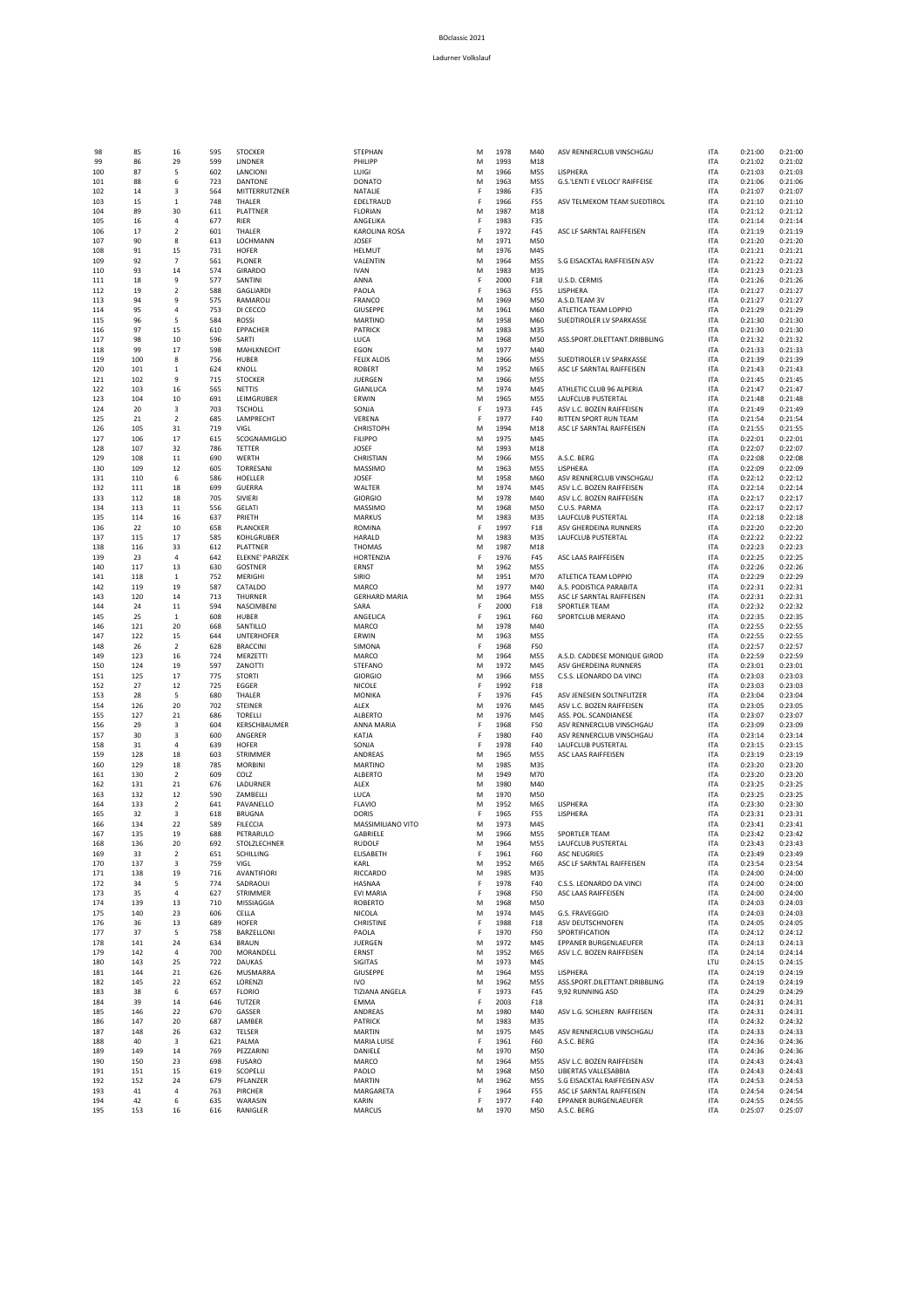| 98         | 85         |                                           | 595        | <b>STOCKER</b>                |
|------------|------------|-------------------------------------------|------------|-------------------------------|
| 99         | 86         | 16<br>29                                  | 599        | LINDNER                       |
| 100        | 87         | 5                                         | 602        | LANCIONI                      |
| 101        | 88         | 6                                         | 723        | DANTONE                       |
| 102        | 14         | 3                                         | 564        | MITTERRUTZNER                 |
| 103        | 15         | $\mathbf 1$                               | 748        | THALER                        |
| 104        | 89         | 30                                        | 611        | PLATTNER                      |
| 105        | 16         | 4                                         | 677        | RIER                          |
| 106        | 17         | $\overline{2}$                            | 601        | THALER                        |
| 107        | 90         | $\bf 8$                                   | 613        | LOCHMANN                      |
| 108        | 91         | 15                                        | 731        | <b>HOFER</b>                  |
| 109        | 92         | $\overline{7}$                            | 561        | PLONER                        |
| 110        | 93         | 14                                        | 574        | GIRARDO                       |
| 111<br>112 | 18<br>19   | 9<br>$\mathbf 2$                          | 577<br>588 | SANTINI<br><b>GAGLIARDI</b>   |
| 113        | 94         | 9                                         | 575        | RAMAROLI                      |
| 114        | 95         | $\sqrt{4}$                                | 753        | DI CECCO                      |
| 115        | 96         | 5                                         | 584        | ROSSI                         |
| 116        | 97         | 15                                        | 610        | EPPACHER                      |
| 117        | 98         | 10                                        | 596        | SARTI                         |
| 118        | 99         | 17                                        | 598        | MAHLKNECHT                    |
| 119        | 100        | 8                                         | 756        | HUBER                         |
| 120        | 101        | $\mathbf 1$                               | 624        | <b>KNOLL</b>                  |
| 121        | 102        | 9                                         | 715        | <b>STOCKER</b>                |
| 122<br>123 | 103<br>104 | 16<br>10                                  | 565<br>691 | <b>NETTIS</b><br>LEIMGRUBER   |
| 124        | 20         | $\overline{\mathbf{3}}$                   | 703        | <b>TSCHOLL</b>                |
| 125        | 21         | $\overline{2}$                            | 685        | LAMPRECHT                     |
| 126        | 105        | 31                                        | 719        | VIGL                          |
| 127        | 106        | 17                                        | 615        | SCOGNAMIGLIO                  |
| 128        | 107        | 32                                        | 786        | TETTER                        |
| 129        | 108        | $11\,$                                    | 690        | WERTH                         |
| 130        | 109        | 12                                        | 605        | TORRESANI                     |
| 131        | 110        | 6                                         | 586        | HOELLER                       |
| 132        | 111        | 18                                        | 699        | GUERRA                        |
| 133        | 112        | 18                                        | 705        | SIVIERI                       |
| 134        | 113        | 11                                        | 556        | <b>GELATI</b>                 |
| 135        | 114        | 16<br>$10\,$                              | 637<br>658 | PRIETH                        |
| 136<br>137 | 22<br>115  | 17                                        | 585        | PLANCKER<br>KOHLGRUBER        |
| 138        | 116        | 33                                        | 612        | PLATTNER                      |
| 139        | 23         | $\overline{4}$                            | 642        | ELEKNE' PARIZEK               |
| 140        | 117        | 13                                        | 630        | GOSTNER                       |
| 141        | 118        | 1                                         | 752        | MERIGHI                       |
| 142        | 119        | 19                                        | 587        | CATALDO                       |
| 143        | 120        | 14                                        | 713        | THURNER                       |
| 144        | 24         | 11                                        | 594        | NASCIMBENI                    |
| 145        | 25         | $\mathbf{1}$                              | 608        | HUBER                         |
| 146<br>147 | 121<br>122 | 20<br>15                                  | 668<br>644 | SANTILLO<br><b>UNTERHOFER</b> |
| 148        | 26         | $\overline{2}$                            | 628        | <b>BRACCINI</b>               |
| 149        | 123        | 16                                        | 724        | MERZETTI                      |
| 150        | 124        | 19                                        | 597        | ZANOTTI                       |
| 151        | 125        | 17                                        | 775        | <b>STORTI</b>                 |
| 152        | 27         | 12                                        | 725        | EGGER                         |
| 153        | 28         | 5                                         | 680        | THALER                        |
| 154        | 126        | 20                                        | 702        | <b>STEINER</b>                |
| 155        | 127        | 21                                        | 686        | <b>TORELLI</b>                |
| 156        | 29         | $\overline{\mathbf{3}}$                   | 604        | KERSCHBAUMER                  |
| 157<br>158 | 30<br>31   | $\overline{\mathbf{3}}$<br>$\overline{4}$ | 600<br>639 | ANGERER<br><b>HOFER</b>       |
| 159        | 128        | 18                                        | 603        | STRIMMER                      |
| 160        | 129        | 18                                        | 785        | <b>MORBINI</b>                |
| 161        | 130        | $\overline{2}$                            | 609        | COLZ                          |
| 162        | 131        | 21                                        | 676        | LADURNER                      |
| 163        | 132        | 12                                        | 590        | ZAMBELLI                      |
| 164        | 133        | $\overline{2}$                            | 641        | PAVANELLO                     |
| 165        | 32         | 3                                         | 618        | BRUGNA                        |
| 166        | 134        | 22                                        | 589        | <b>FILECCIA</b>               |
| 167        | 135        | 19                                        | 688        | PETRARULO<br>STOLZLECHNER     |
| 168<br>169 | 136<br>33  | 20<br>2                                   | 692<br>651 | SCHILLING                     |
| 170        | 137        | 3                                         | 759        | VIGL                          |
| 171        | 138        | 19                                        | 716        | AVANTIFIORI                   |
| 172        | 34         | 5                                         | 774        | SADRAOUI                      |
| 173        | 35         | $\overline{4}$                            | 627        | STRIMMER                      |
| 174        | 139        | 13                                        | 710        | MISSIAGGIA                    |
| 175        | 140        | 23                                        | 606        | CELLA                         |
| 176        | 36         | 13                                        | 689        | HOFER                         |
| 177        | 37         | 5                                         | 758        | BARZELLONI                    |
| 178        | 141<br>142 | 24<br>4                                   | 634        | BRAUN<br>MORANDELL            |
| 179<br>180 | 143        | 25                                        | 700<br>722 | <b>DAUKAS</b>                 |
| 181        | 144        | 21                                        | 626        | MUSMARRA                      |
| 182        | 145        | 22                                        | 652        | LORENZI                       |
| 183        | 38         | 6                                         | 657        | <b>FLORIO</b>                 |
| 184        | 39         | 14                                        | 646        | TUTZER                        |
| 185        | 146        | 22                                        | 670        | GASSER                        |
| 186        | 147        | 20                                        | 687        | LAMBER                        |
| 187        | 148        | 26                                        | 632        | TELSER                        |
| 188        | 40         | $\mathbf 3$                               | 621        | PALMA                         |
| 189        | 149        | 14                                        | 769        | PEZZARINI                     |
| 190<br>191 | 150<br>151 | 23<br>15                                  | 698<br>619 | FUSARO<br>SCOPELLI            |
| 192        | 152        | 24                                        | 679        | PFLANZER                      |
| 193        | 41         | 4                                         | 763        | PIRCHER                       |
| 194        | 42         | 6                                         | 635        | WARASIN                       |
| 105        | 152        | 16                                        | 616        | <b><i>RANIGLER</i></b>        |

| <b><i>FEPHAN</i></b><br>HILIPP      |
|-------------------------------------|
| JIGI                                |
| ONATO<br>ATALIE                     |
| DELTRAUD<br>LORIAN                  |
| NGELIKA<br><b>AROLINA ROS</b>       |
| <b>OSEF</b>                         |
| ELMUT<br>ALENTIN                    |
| 'AN<br>NNA                          |
| AOLA<br>RANCO                       |
| <b>IUSEPPE</b>                      |
| <b>IARTINO</b><br>ATRICK            |
| JCA<br>GON                          |
| ELIX ALO<br><b>JIS</b>              |
| OBERT<br>JERGEN                     |
| <b>IANLU</b><br>RWIN                |
| ALNC                                |
| ERENA<br><b>HRISTOPH</b>            |
| LIPPO<br>١<br><b>OSEF</b>           |
| HRISTIAN                            |
| <b>IASSIMO</b><br><b>OSEF</b>       |
| <b>ALTER</b>                        |
| <b>IORGIO</b><br><b>IASSIM</b><br>١ |
| <b>IARKUS</b><br>OMINA              |
| ARALD                               |
| HOMAS<br>ORTENZIA                   |
| RNS<br>Ī<br><b>RIO</b>              |
| <b>IARCO</b>                        |
| ERHARD MARIA<br>ARA                 |
| NGELIC<br>A<br><b>IARCO</b>         |
| RWIN<br>MONA                        |
| <b>IARC</b><br>$\mathfrak{z}$       |
| <b>TEFANO</b><br><b>IORGIO</b>      |
| IC<br>$\mathbf{C}$<br>ОLЕ           |
| <b>IONIKA</b><br>LEX                |
| LBERTO<br>NNA MARIA                 |
| ATJA                                |
| Alnc<br>NDREAS                      |
| <b>IARTIN</b><br>LBERTO             |
| LEX                                 |
| <b>JCA</b><br>AVIC<br>١             |
| ORIS<br><b>IASSIMILIANO VITI</b>    |
| ABRIELE<br>اءس<br>UDOLF             |
| LISABETH                            |
| ARL<br><b>CCARDO</b>                |
| ASNAA                               |
| VI MARIA<br>OBERTO                  |
| ICOLA<br><b>HRISTINE</b>            |
| AC<br>ĴLA                           |
| JERGEN<br>RNST                      |
| GITAS<br><b>IUSEPPE</b>             |
| O                                   |
| ZIANA ANGELA<br>MMA                 |
| NDREAS<br>ATRICK                    |
| <b>IARTIN</b>                       |
| <b>IARIA LUISE</b><br>ANIELE        |
| <b>IARCO</b><br>AOLO                |
| <b>IARTIN</b>                       |
| <b>IARGARETA</b><br>ARIN            |
| <b>IARCUS</b>                       |

| 98         | 85         | 16                   | 595        | <b>STOCKER</b>                      | STEPHAN                           | M      | 1978         | M40               | ASV RENNERCLUB VINSCHGAU                         | ITA                      | 0:21:00            | 0:21:00            |
|------------|------------|----------------------|------------|-------------------------------------|-----------------------------------|--------|--------------|-------------------|--------------------------------------------------|--------------------------|--------------------|--------------------|
| 99         | 86         | 29                   | 599        | LINDNER                             | PHILIPP                           | M      | 1993         | M18               |                                                  | <b>ITA</b>               | 0:21:02            | 0:21:02            |
| 100        | 87         | 5                    | 602        | LANCIONI                            | LUIGI                             | M      | 1966         | M55               | LISPHERA                                         | <b>ITA</b>               | 0:21:03            | 0:21:03            |
| 101        | 88         | 6                    | 723        | DANTONE                             | <b>DONATO</b>                     | M      | 1963         | M55               | G.S.'LENTI E VELOCI' RAIFFEISE                   | <b>ITA</b>               | 0:21:06            | 0:21:06            |
| 102        | 14         | 3                    | 564        | MITTERRUTZNER                       | NATALIE                           | F      | 1986         | F35               |                                                  | <b>ITA</b>               | 0:21:07            | 0:21:07            |
| 103        | 15         | $\mathbf 1$          | 748        | THALER                              | EDELTRAUD                         | F      | 1966         | F55               | ASV TELMEKOM TEAM SUEDTIROL                      | <b>ITA</b>               | 0:21:10            | 0:21:10            |
| 104        | 89         | 30                   | 611        | PLATTNER                            | <b>FLORIAN</b>                    | M      | 1987         | M18               |                                                  | <b>ITA</b>               | 0:21:12            | 0:21:12            |
| 105        | 16         | $\overline{a}$       | 677        | RIER                                | <b>ANGFLIKA</b>                   | F      | 1983         | F35               |                                                  | <b>ITA</b>               | 0:21:14            | 0:21:14            |
| 106        | 17         | $\overline{2}$       | 601        | THALER                              | KAROLINA ROSA                     | F      | 1972         | F45               | ASC LF SARNTAL RAIFFEISEN                        | <b>ITA</b>               | 0:21:19            | 0:21:19            |
| 107        | 90         | 8                    | 613        | LOCHMANN                            | JOSEF                             | M      | 1971         | M50               |                                                  | <b>ITA</b>               | 0:21:20            | 0:21:20            |
| 108        | 91         | 15                   | 731        | <b>HOFER</b>                        | <b>HELMUT</b>                     | M      | 1976         | M45               |                                                  | <b>ITA</b>               | 0:21:21            | 0:21:21            |
| 109        | 92         | $\overline{7}$       | 561        | PLONER                              | VALENTIN                          | M      | 1964         | M55               | S.G EISACKTAL RAIFFEISEN ASV                     | <b>ITA</b>               | 0:21:22            | 0:21:22            |
| 110        | 93         | 14                   | 574        | GIRARDO                             | <b>IVAN</b>                       | M      | 1983         | M35               |                                                  | <b>ITA</b>               | 0:21:23            | 0:21:23            |
| 111        | 18         | $\mathsf g$          | 577        | SANTINI                             | ANNA                              | F      | 2000         | F18               | U.S.D. CERMIS                                    | <b>ITA</b>               | 0:21:26            | 0:21:26            |
| 112        | 19         | $\overline{2}$       | 588        | <b>GAGLIARDI</b><br><b>RAMAROLI</b> | PAOLA                             | F      | 1963         | F55               | LISPHERA                                         | <b>ITA</b>               | 0:21:27            | 0:21:27            |
| 113        | 94<br>95   | 9<br>$\overline{a}$  | 575<br>753 | DI CECCO                            | FRANCO<br>GIUSEPPE                | M<br>M | 1969<br>1961 | M50<br>M60        | A.S.D.TEAM 3V                                    | <b>ITA</b><br><b>ITA</b> | 0:21:27<br>0:21:29 | 0:21:27<br>0:21:29 |
| 114        |            | 5                    |            |                                     |                                   |        |              |                   | ATLETICA TEAM LOPPIO<br>SUEDTIROLER LV SPARKASSE |                          |                    | 0:21:30            |
| 115<br>116 | 96<br>97   | 15                   | 584<br>610 | ROSSI<br><b>EPPACHER</b>            | <b>MARTINO</b><br><b>PATRICK</b>  | M<br>M | 1958<br>1983 | M60<br>M35        |                                                  | <b>ITA</b><br><b>ITA</b> | 0:21:30<br>0:21:30 | 0:21:30            |
| 117        | 98         | 10                   | 596        | SARTI                               | LUCA                              | M      | 1968         | M50               | ASS.SPORT.DILETTANT.DRIBBLING                    | <b>ITA</b>               | 0:21:32            | 0:21:32            |
| 118        | 99         | 17                   | 598        | MAHLKNECHT                          | EGON                              | M      | 1977         | M40               |                                                  | <b>ITA</b>               | 0:21:33            | 0:21:33            |
| 119        | 100        | 8                    | 756        | HUBER                               | <b>FELIX ALOIS</b>                | M      | 1966         | M55               | SUEDTIROLER LV SPARKASSE                         | <b>ITA</b>               | 0:21:39            | 0:21:39            |
| 120        | 101        | $\mathbf 1$          | 624        | KNOLL                               | <b>ROBERT</b>                     | M      | 1952         | M65               | ASC LF SARNTAL RAIFFEISEN                        | <b>ITA</b>               | 0:21:43            | 0:21:43            |
| 121        | 102        | 9                    | 715        | <b>STOCKER</b>                      | <b>JUERGEN</b>                    | M      | 1966         | M55               |                                                  | <b>ITA</b>               | 0:21:45            | 0:21:45            |
| 122        | 103        | 16                   | 565        | <b>NETTIS</b>                       | GIANLUCA                          | M      | 1974         | M45               | ATHLETIC CLUB 96 ALPERIA                         | <b>ITA</b>               | 0:21:47            | 0:21:47            |
| 123        | 104        | 10                   | 691        | LEIMGRUBER                          | ERWIN                             | M      | 1965         | M55               | LAUFCLUB PUSTERTAL                               | <b>ITA</b>               | 0:21:48            | 0:21:48            |
| 124        | 20         | 3                    | 703        | <b>TSCHOLL</b>                      | SONJA                             | F      | 1973         | F45               | ASV L.C. BOZEN RAIFFEISEN                        | <b>ITA</b>               | 0:21:49            | 0:21:49            |
| 125        | 21         | $\overline{2}$       | 685        | LAMPRECHT                           | VERENA                            | F      | 1977         | F40               | RITTEN SPORT RUN TEAM                            | <b>ITA</b>               | 0:21:54            | 0:21:54            |
| 126        | 105        | 31                   | 719        | VIGI                                | <b>CHRISTOPH</b>                  | M      | 1994         | M18               | ASC LF SARNTAL RAIFFEISEN                        | <b>ITA</b>               | 0:21:55            | 0:21:55            |
| 127        | 106        | 17                   | 615        | SCOGNAMIGLIO                        | <b>FILIPPO</b>                    | M      | 1975         | M45               |                                                  | <b>ITA</b>               | 0:22:01            | 0:22:01            |
| 128        | 107        | 32                   | 786        | TETTER                              | JOSEF                             | M      | 1993         | M18               |                                                  | <b>ITA</b>               | 0:22:07            | 0:22:07            |
| 129        | 108        | 11                   | 690        | WERTH                               | CHRISTIAN                         | M      | 1966         | M55               | A.S.C. BERG                                      | <b>ITA</b>               | 0:22:08            | 0:22:08            |
| 130        | 109        | 12                   | 605        | <b>TORRESANI</b>                    | MASSIMO                           | M      | 1963         | M55               | <b>I ISPHERA</b>                                 | <b>ITA</b>               | 0:22:09            | 0:22:09            |
| 131        | 110        | 6                    | 586        | HOELLER                             | JOSEF                             | M      | 1958         | M60               | ASV RENNERCLUB VINSCHGAU                         | <b>ITA</b>               | 0:22:12            | 0:22:12            |
| 132        | 111        | 18                   | 699        | GUFRRA                              | WALTER                            | M      | 1974         | M45               | ASV L.C. BOZEN RAIFFEISEN                        | <b>ITA</b>               | 0:22:14            | 0:22:14            |
| 133        | 112        | 18                   | 705        | SIVIERI                             | <b>GIORGIO</b>                    | M      | 1978         | M40               | ASV L.C. BOZEN RAIFFEISEN                        | <b>ITA</b>               | 0:22:17            | 0:22:17            |
| 134        | 113        | 11                   | 556        | <b>GELATI</b>                       | MASSIMO                           | M      | 1968         | M50               | C.U.S. PARMA                                     | <b>ITA</b>               | 0:22:17            | 0:22:17            |
| 135        | 114        | 16                   | 637        | PRIETH                              | <b>MARKUS</b>                     | M      | 1983         | M35               | LAUFCLUB PUSTERTAL                               | <b>ITA</b>               | 0:22:18            | 0:22:18            |
| 136        | 22         | 10                   | 658        | PLANCKER                            | <b>ROMINA</b>                     | F      | 1997         | F18               | ASV GHERDEINA RUNNERS                            | <b>ITA</b>               | 0:22:20            | 0:22:20            |
| 137        | 115        | 17                   | 585        | KOHLGRUBER                          | HARALD                            | M      | 1983         | M35               | <b>LAUFCLUB PUSTERTAL</b>                        | <b>ITA</b>               | 0:22:22            | 0:22:22            |
| 138        | 116        | 33                   | 612        | PLATTNER                            | <b>THOMAS</b>                     | M      | 1987         | M18               |                                                  | <b>ITA</b>               | 0:22:23            | 0:22:23            |
| 139        | 23         | $\overline{4}$       | 642        | ELEKNE' PARIZEK                     | HORTENZIA                         | F      | 1976         | F45               | ASC LAAS RAIFFEISEN                              | <b>ITA</b>               | 0:22:25            | 0:22:25            |
| 140        | 117        | 13                   | 630        | <b>GOSTNER</b>                      | <b>ERNST</b>                      | M      | 1962         | M55               |                                                  | <b>ITA</b>               | 0:22:26            | 0:22:26            |
| 141        | 118        | $\mathbf{1}$         | 752        | MERIGHI                             | SIRIO                             | M      | 1951         | M70               | ATLETICA TEAM LOPPIO                             | <b>ITA</b>               | 0:22:29            | 0:22:29            |
| 142        | 119        | 19                   | 587        | CATALDO                             | MARCO                             | M      | 1977         | M40               | A.S. PODISTICA PARABITA                          | <b>ITA</b>               | 0:22:31            | 0:22:31            |
| 143        | 120        | 14                   | 713        | THURNER                             | <b>GERHARD MARIA</b>              | M      | 1964         | M55               | ASC LF SARNTAL RAIFFEISEN                        | <b>ITA</b>               | 0:22:31            | 0:22:31            |
| 144        | 24         | 11                   | 594        | NASCIMBENI                          | SARA                              | F      | 2000         | F18               | SPORTLER TEAM                                    | <b>ITA</b>               | 0:22:32            | 0:22:32            |
| 145        | 25<br>121  | $\mathbf{1}$<br>20   | 608<br>668 | HUBER<br>SANTILLO                   | ANGELICA<br>MARCO                 | F<br>M | 1961<br>1978 | F60<br>M40        | SPORTCLUB MERANO                                 | <b>ITA</b><br><b>ITA</b> | 0:22:35<br>0:22:55 | 0:22:35<br>0:22:55 |
| 146<br>147 | 122        | 15                   | 644        | <b>UNTERHOFER</b>                   | ERWIN                             | M      | 1963         | M55               |                                                  | <b>ITA</b>               | 0:22:55            | 0:22:55            |
| 148        | 26         | $\overline{2}$       | 628        | <b>BRACCINI</b>                     | SIMONA                            | F      | 1968         | F50               |                                                  | <b>ITA</b>               | 0:22:57            | 0:22:57            |
| 149        | 123        | 16                   | 724        | MERZETT                             | MARCO                             | M      | 1964         | M55               | A.S.D. CADDESE MONIQUE GIROD                     | <b>ITA</b>               | 0:22:59            | 0:22:59            |
| 150        | 124        | 19                   | 597        | ZANOTTI                             | STEFANO                           | M      | 1972         | M45               | ASV GHERDEINA RUNNERS                            | <b>ITA</b>               | 0:23:01            | 0:23:01            |
| 151        | 125        | 17                   | 775        | <b>STORTI</b>                       | <b>GIORGIO</b>                    | M      | 1966         | M55               | C.S.S. LEONARDO DA VINCI                         | <b>ITA</b>               | 0:23:03            | 0:23:03            |
| 152        | 27         | 12                   | 725        | EGGER                               | NICOLE                            | F      | 1992         | F18               |                                                  | <b>ITA</b>               | 0:23:03            | 0:23:03            |
| 153        | 28         | 5                    | 680        | THALER                              | <b>MONIKA</b>                     | F      | 1976         | F45               | ASV JENESIEN SOLTNFLITZER                        | <b>ITA</b>               | 0:23:04            | 0:23:04            |
| 154        | 126        | 20                   | 702        | <b>STEINER</b>                      | ALEX                              | M      | 1976         | M45               | ASV L.C. BOZEN RAIFFEISEN                        | <b>ITA</b>               | 0:23:05            | 0:23:05            |
| 155        | 127        | 21                   | 686        | TORELL                              | ALBERTO                           | M      | 1976         | M45               | ASS. POL. SCANDIANESE                            | <b>ITA</b>               | 0:23:07            | 0:23:07            |
| 156        | 29         | 3                    | 604        | KERSCHBAUMER                        | ANNA MARIA                        | F      | 1968         | F50               | ASV RENNERCLUB VINSCHGAU                         | <b>ITA</b>               | 0:23:09            | 0:23:09            |
| 157        | 30         | 3                    | 600        | ANGERER                             | KATJA                             | F      | 1980         | F40               | ASV RENNERCLUB VINSCHGAU                         | <b>ITA</b>               | 0:23:14            | 0:23:14            |
| 158        | 31         | $\sqrt{4}$           | 639        | <b>HOFER</b>                        | SONJA                             | F      | 1978         | F40               | <b>LAUFCLUB PUSTERTAL</b>                        | <b>ITA</b>               | 0:23:15            | 0:23:15            |
| 159        | 128        | 18                   | 603        | <b>STRIMMER</b>                     | ANDREAS                           | M      | 1965         | M55               | ASC LAAS RAIFFEISEN                              | <b>ITA</b>               | 0:23:19            | 0:23:19            |
| 160        | 129        | 18                   | 785        | <b>MORBINI</b>                      | <b>MARTINO</b>                    | M      | 1985         | M35               |                                                  | <b>ITA</b>               | 0:23:20            | 0:23:20            |
| 161        | 130        | $\overline{2}$       | 609        | COLZ                                | AI BERTO                          | M      | 1949         | M70               |                                                  | <b>ITA</b>               | 0:23:20            | 0:23:20            |
| 162        | 131        | 21                   | 676        | LADURNER                            | ALEX                              | M      | 1980         | M40               |                                                  | <b>ITA</b>               | 0:23:25            | 0:23:25            |
| 163        | 132        | 12                   | 590        | ZAMBELLI                            | LUCA                              | M      | 1970         | M50               |                                                  | <b>ITA</b>               | 0:23:25            | 0:23:25            |
| 164        | 133        | $\overline{2}$       | 641        | PAVANELLO                           | <b>FLAVIO</b>                     | M      | 1952         | M65               | LISPHERA                                         | <b>ITA</b>               | 0:23:30            | 0:23:30            |
| 165<br>166 | 32<br>134  | 3<br>22              | 618<br>589 | <b>BRUGNA</b><br><b>FILECCIA</b>    | <b>DORIS</b><br>MASSIMILIANO VITO | F<br>M | 1965<br>1973 | <b>F55</b><br>M45 | LISPHERA                                         | <b>ITA</b><br><b>ITA</b> | 0:23:31<br>0:23:41 | 0:23:31<br>0:23:41 |
| 167        | 135        | 19                   | 688        | PETRARULO                           | <b>GARRIFIF</b>                   | м      | 1966         | <b>M55</b>        | SPORTLER TEAM                                    | <b>ITA</b>               | $0.23 - 42$        | 0.23.42            |
| 168        | 136        | 20                   | 692        | STOLZLECHNER                        | <b>RUDOLF</b>                     | М      | 1964         | M55               | <b>LAUFCLUB PUSTERTAL</b>                        | ITA                      | 0:23:43            | 0:23:43            |
| 169        | 33         | $\overline{2}$       | 651        | SCHILLING                           | ELISABETH                         | F      | 1961         | F60               | <b>ASC NEUGRIES</b>                              | <b>ITA</b>               | 0:23:49            | 0:23:49            |
| 170        | 137        | 3                    | 759        | VIGL                                | KARL                              | M      | 1952         | M65               | ASC LF SARNTAL RAIFFEISEN                        | <b>ITA</b>               | 0:23:54            | 0:23:54            |
| 171        | 138        | 19                   | 716        | <b>AVANTIFIORI</b>                  | <b>RICCARDO</b>                   | M      | 1985         | M35               |                                                  | <b>ITA</b>               | 0:24:00            | 0:24:00            |
| 172        | 34         | 5                    | 774        | SADRAOUI                            | HASNAA                            | F      | 1978         | F40               | C.S.S. LEONARDO DA VINCI                         | <b>ITA</b>               | 0:24:00            | 0:24:00            |
| 173        | 35         | $\overline{4}$       | 627        | STRIMMER                            | EVI MARIA                         | F      | 1968         | F50               | ASC LAAS RAIFFEISEN                              | <b>ITA</b>               | 0:24:00            | 0:24:00            |
| 174        | 139        | 13                   | 710        | MISSIAGGIA                          | <b>ROBERTO</b>                    | M      | 1968         | M50               |                                                  | <b>ITA</b>               | 0:24:03            | 0:24:03            |
| 175        | 140        | 23                   | 606        | CELLA                               | NICOLA                            | M      | 1974         | M45               | G.S. FRAVEGGIO                                   | <b>ITA</b>               | 0:24:03            | 0:24:03            |
| 176        | 36         | 13                   | 689        | <b>HOFER</b>                        | CHRISTINE                         | F      | 1988         | F18               | ASV DEUTSCHNOFEN                                 | <b>ITA</b>               | 0:24:05            | 0:24:05            |
| 177        | 37         | 5                    | 758        | BARZELLONI                          | PAOLA                             | F      | 1970         | F50               | SPORTIFICATION                                   | <b>ITA</b>               | 0:24:12            | 0:24:12            |
| 178        | 141        | 24                   | 634        | <b>BRAUN</b>                        | <b>JUERGEN</b>                    | M      | 1972         | M45               | EPPANER BURGENLAEUFER                            | <b>ITA</b>               | 0:24:13            | 0:24:13            |
| 179        | 142        | $\sqrt{4}$           | 700        | MORANDELL                           | ERNST                             | M      | 1952         | M65               | ASV L.C. BOZEN RAIFFEISEN                        | <b>ITA</b>               | 0:24:14            | 0:24:14            |
| 180        | 143        | 25                   | 722        | DAUKAS                              | SIGITAS                           | M      | 1973         | M45               |                                                  | LTU                      | 0:24:15            | 0:24:15            |
| 181        | 144        | 21                   | 626        | MUSMARRA                            | GIUSEPPE                          | M      | 1964         | M55               | LISPHERA                                         | <b>ITA</b>               | 0:24:19            | 0:24:19            |
| 182        | 145        | 22                   | 652        | LORENZI                             | <b>IVO</b>                        | M      | 1962         | M55               | ASS.SPORT.DILETTANT.DRIBBLING                    | ITA                      | 0:24:19            | 0:24:19            |
| 183        | 38         | 6                    | 657        | <b>FLORIO</b>                       | <b>TIZIANA ANGELA</b>             | F      | 1973         | F45               | 9,92 RUNNING ASD                                 | <b>ITA</b>               | 0:24:29            | 0:24:29            |
| 184        | 39         | 14                   | 646        | TUTZER                              | <b>EMMA</b>                       | F      | 2003         | F18               |                                                  | <b>ITA</b>               | 0:24:31            | 0:24:31            |
| 185        | 146        | 22                   | 670        | GASSER                              | ANDREAS                           | M      | 1980         | M40               | ASV L.G. SCHLERN RAIFFEISEN                      | <b>ITA</b>               | 0:24:31            | 0:24:31            |
| 186        | 147        | 20                   | 687        | <b>I AMBER</b>                      | <b>PATRICK</b>                    | M      | 1983         | M35               | ASV RENNERCLUB VINSCHGAU                         | <b>ITA</b>               | 0:24:32            | 0:24:32            |
| 187        | 148        | 26                   | 632        | TELSER                              | <b>MARTIN</b>                     | M<br>F | 1975         | M45               |                                                  | <b>ITA</b>               | 0:24:33            | 0:24:33            |
| 188        | 40         | 3                    | 621        | PALMA                               | <b>MARIA LUISE</b>                |        | 1961         | F60               | A.S.C. BERG                                      | <b>ITA</b>               | 0:24:36            | 0:24:36            |
| 189        | 149<br>150 | 14<br>23             | 769<br>698 | PEZZARINI<br><b>FUSARO</b>          | DANIELE                           | M      | 1970<br>1964 | M50<br>M55        | ASV L.C. BOZEN RAIFFEISEN                        | <b>ITA</b><br><b>ITA</b> | 0:24:36            | 0:24:36<br>0:24:43 |
|            |            | 15                   | 619        | SCOPELLI                            | MARCO<br>PAOLO                    | M<br>M | 1968         | M50               | LIBERTAS VALLESABBIA                             | <b>ITA</b>               | 0:24:43<br>0:24:43 | 0:24:43            |
|            |            |                      |            |                                     |                                   |        |              |                   |                                                  |                          |                    |                    |
| 190<br>191 | 151        |                      |            |                                     |                                   |        |              |                   |                                                  |                          |                    |                    |
| 192        | 152<br>41  | 24<br>$\overline{4}$ | 679        | PFLANZER                            | MARTIN                            | M<br>F | 1962         | M55               | S.G EISACKTAL RAIFFEISEN ASV                     | <b>ITA</b>               | 0:24:53            | 0:24:53            |
| 193        |            |                      | 763        | PIRCHER                             | MARGARETA                         |        | 1964         | <b>F55</b>        | ASC LF SARNTAL RAIFFEISEN                        | <b>ITA</b>               | 0:24:54            | 0:24:54            |
| 194<br>195 | 42<br>153  | 6<br>16              | 635<br>616 | WARASIN<br>RANIGLER                 | KARIN<br>MARCUS                   | F<br>M | 1977<br>1970 | F40<br>M50        | EPPANER BURGENLAEUFER<br>A.S.C. BERG             | ITA<br><b>ITA</b>        | 0:24:55<br>0:25:07 | 0:24:55<br>0:25:07 |